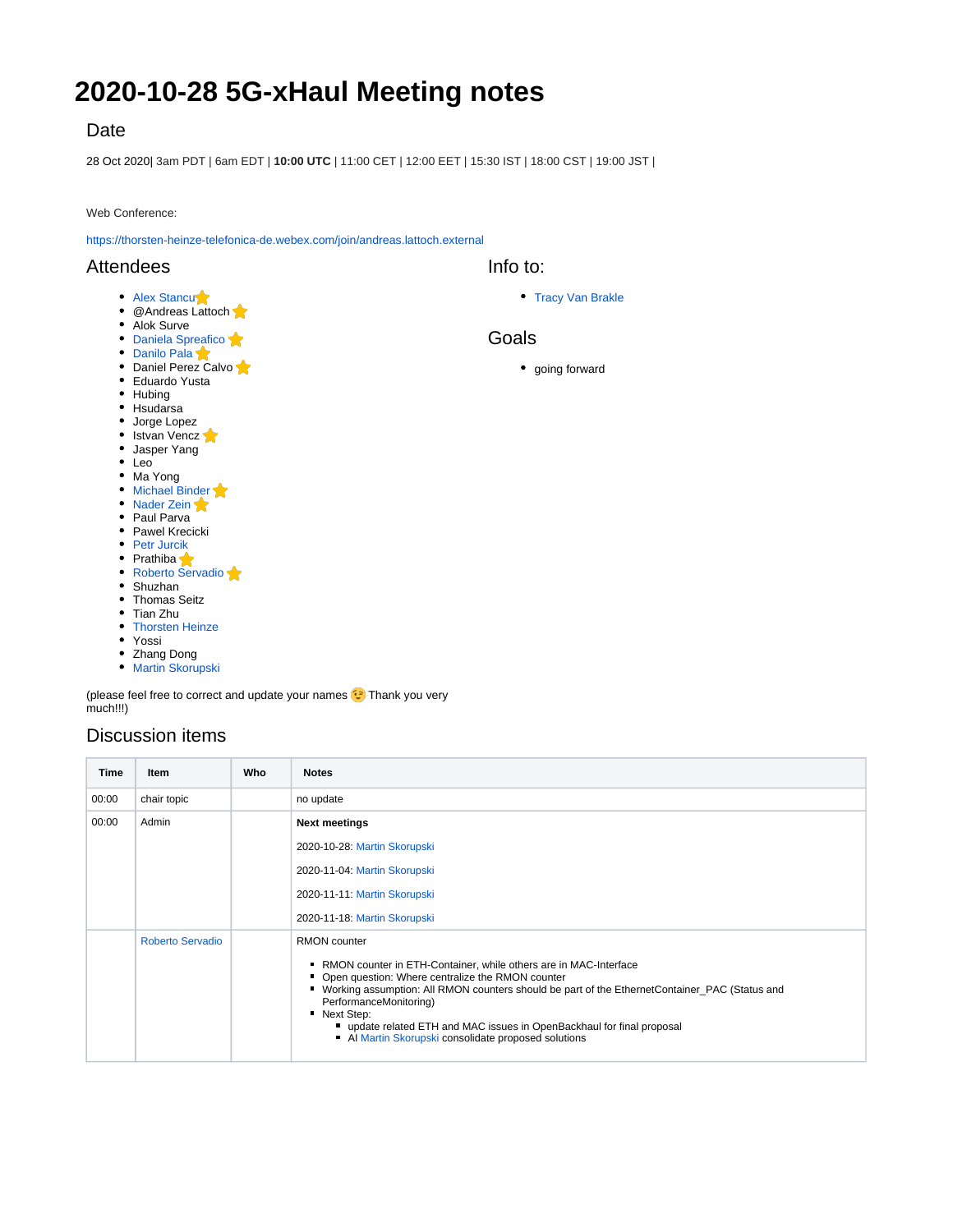# **2020-10-28 5G-xHaul Meeting notes**

# Date

28 Oct 2020| 3am PDT | 6am EDT | **10:00 UTC** | 11:00 CET | 12:00 EET | 15:30 IST | 18:00 CST | 19:00 JST |

Web Conference:

<https://thorsten-heinze-telefonica-de.webex.com/join/andreas.lattoch.external>

### **Attendees**

#### • [Alex Stancu](https://wiki.opennetworking.org/display/~alexandrus)

- @Andreas Lattoch
- Alok Surve
- [Daniela Spreafico](https://wiki.opennetworking.org/display/~spreafico.daniela) • [Danilo Pala](https://wiki.opennetworking.org/display/~danilo.pala)
- Daniel Perez Calvo
- Eduardo Yusta
- Hubing
- Hsudarsa
- Jorge Lopez
- Istvan Vencz
- Jasper Yang
- Leo
- Ma Yong
- [Michael Binder](https://wiki.opennetworking.org/display/~michael.binder)
- [Nader Zein](https://wiki.opennetworking.org/display/~nader.zein)
- Paul Parva • Pawel Krecicki
- [Petr Jurcik](https://wiki.opennetworking.org/display/~petr.jurcik)
- Prathiba
- [Roberto Servadio](https://wiki.opennetworking.org/display/~roberto.servadio)
- Shuzhan
- Thomas Seitz
- Tian Zhu
- [Thorsten Heinze](https://wiki.opennetworking.org/display/~thorsten.heinze)
- Yossi
- Zhang Dong
- **[Martin Skorupski](https://wiki.opennetworking.org/display/~demx8as6)**

(please feel free to correct and update your names  $\odot$ ) Thank you very much!!!)

# Discussion items

| Time  | Item                    | Who | <b>Notes</b>                                                                                                                                                                                                                                                                                                                                                                                                          |
|-------|-------------------------|-----|-----------------------------------------------------------------------------------------------------------------------------------------------------------------------------------------------------------------------------------------------------------------------------------------------------------------------------------------------------------------------------------------------------------------------|
| 00:00 | chair topic             |     | no update                                                                                                                                                                                                                                                                                                                                                                                                             |
| 00:00 | Admin                   |     | <b>Next meetings</b>                                                                                                                                                                                                                                                                                                                                                                                                  |
|       |                         |     | 2020-10-28: Martin Skorupski                                                                                                                                                                                                                                                                                                                                                                                          |
|       |                         |     | 2020-11-04: Martin Skorupski                                                                                                                                                                                                                                                                                                                                                                                          |
|       |                         |     | 2020-11-11: Martin Skorupski                                                                                                                                                                                                                                                                                                                                                                                          |
|       |                         |     | 2020-11-18: Martin Skorupski                                                                                                                                                                                                                                                                                                                                                                                          |
|       | <b>Roberto Servadio</b> |     | RMON counter<br>■ RMON counter in ETH-Container, while others are in MAC-Interface<br>• Open question: Where centralize the RMON counter<br>■ Working assumption: All RMON counters should be part of the EthernetContainer_PAC (Status and<br>PerformanceMonitoring)<br>• Next Step:<br>" update related ETH and MAC issues in OpenBackhaul for final proposal<br>Al Martin Skorupski consolidate proposed solutions |

Info to:

• [Tracy Van Brakle](https://wiki.opennetworking.org/display/~tracyvb)

## Goals

going forward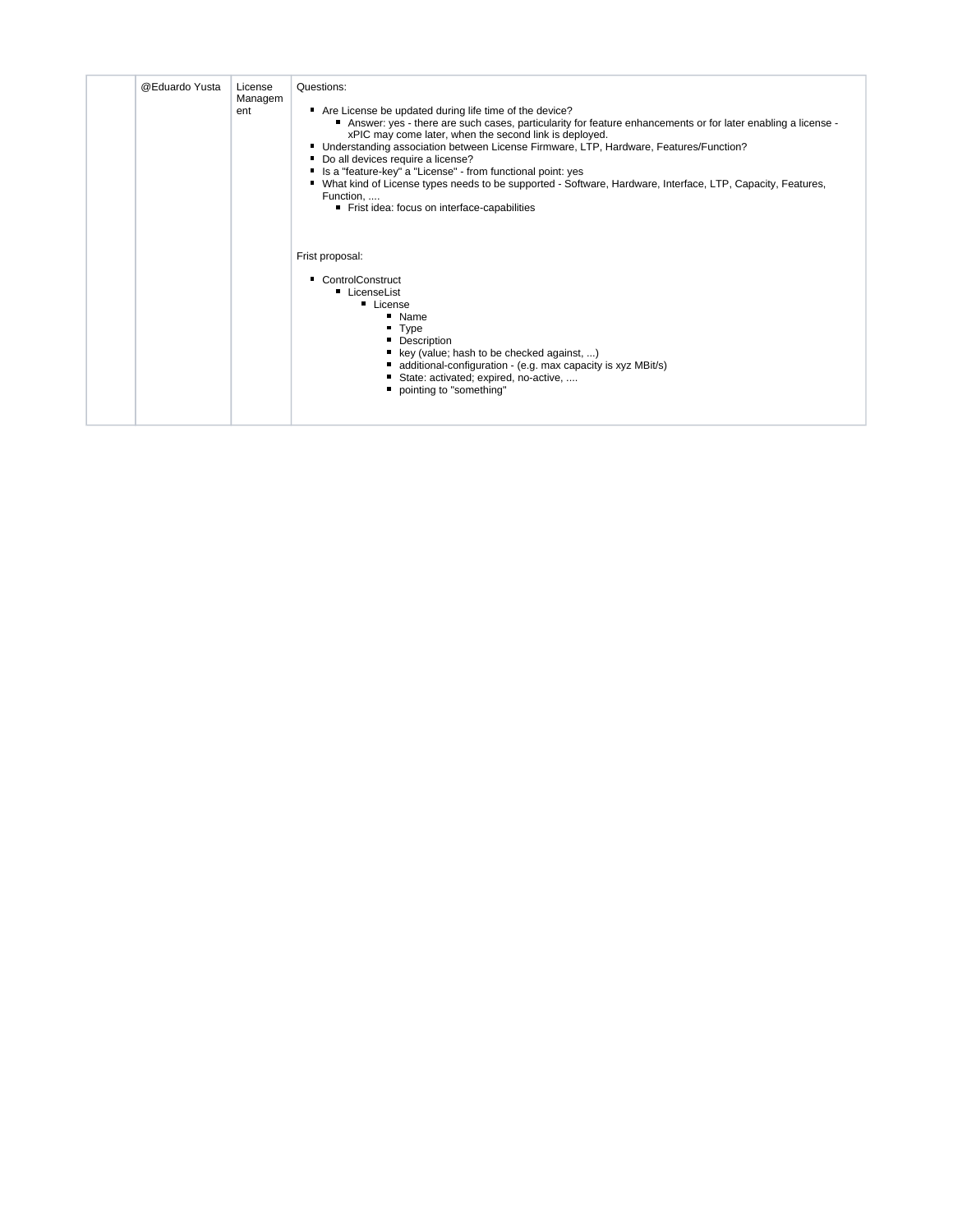| @Eduardo Yusta | License<br>Managem<br>ent | Questions:<br>Are License be updated during life time of the device?<br>■ Answer: yes - there are such cases, particularity for feature enhancements or for later enabling a license -<br>xPIC may come later, when the second link is deployed.<br>■ Understanding association between License Firmware, LTP, Hardware, Features/Function?<br>Do all devices require a license?<br>Is a "feature-key" a "License" - from functional point: yes<br>■ What kind of License types needs to be supported - Software, Hardware, Interface, LTP, Capacity, Features,<br>Function,<br>Frist idea: focus on interface-capabilities |
|----------------|---------------------------|-----------------------------------------------------------------------------------------------------------------------------------------------------------------------------------------------------------------------------------------------------------------------------------------------------------------------------------------------------------------------------------------------------------------------------------------------------------------------------------------------------------------------------------------------------------------------------------------------------------------------------|
|                |                           | Frist proposal:<br>• ControlConstruct<br>• LicenseList<br><b>License</b><br>" Name<br>$\blacksquare$ Type<br>• Description<br>key (value; hash to be checked against, )<br>additional-configuration - (e.g. max capacity is xyz MBit/s)<br>State: activated; expired, no-active,<br>pointing to "something"                                                                                                                                                                                                                                                                                                                 |